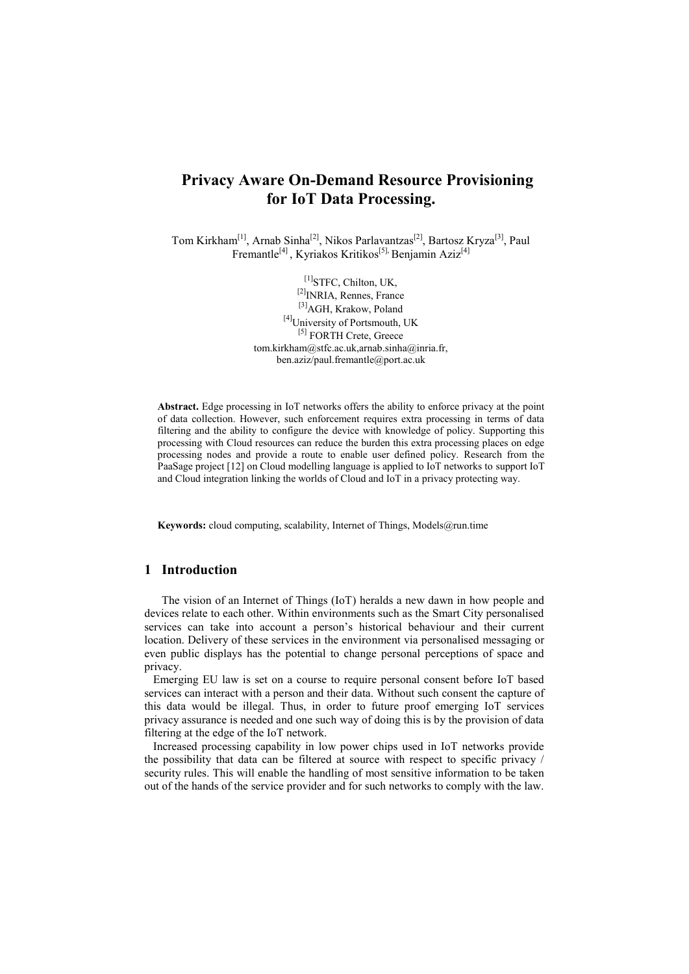# **Privacy Aware On-Demand Resource Provisioning for IoT Data Processing.**

Tom Kirkham<sup>[1]</sup>, Arnab Sinha<sup>[2]</sup>, Nikos Parlavantzas<sup>[2]</sup>, Bartosz Kryza<sup>[3]</sup>, Paul Fremantle<sup>[4]</sup>, Kyriakos Kritikos<sup>[5],</sup> Benjamin Aziz<sup>[4]</sup>

> <sup>[1]</sup>STFC, Chilton, UK,  $[2]$ INRIA, Rennes, France <sup>[3]</sup>AGH, Krakow, Poland [4]University of Portsmouth, UK [5] FORTH Crete, Greece tom.kirkham@stfc.ac.uk,arnab.sinha@inria.fr, ben.aziz/paul.fremantle@port.ac.uk

**Abstract.** Edge processing in IoT networks offers the ability to enforce privacy at the point of data collection. However, such enforcement requires extra processing in terms of data filtering and the ability to configure the device with knowledge of policy. Supporting this processing with Cloud resources can reduce the burden this extra processing places on edge processing nodes and provide a route to enable user defined policy. Research from the PaaSage project [12] on Cloud modelling language is applied to IoT networks to support IoT and Cloud integration linking the worlds of Cloud and IoT in a privacy protecting way.

**Keywords:** cloud computing, scalability, Internet of Things, Models@run.time

## **1 Introduction**

 The vision of an Internet of Things (IoT) heralds a new dawn in how people and devices relate to each other. Within environments such as the Smart City personalised services can take into account a person's historical behaviour and their current location. Delivery of these services in the environment via personalised messaging or even public displays has the potential to change personal perceptions of space and privacy.

 Emerging EU law is set on a course to require personal consent before IoT based services can interact with a person and their data. Without such consent the capture of this data would be illegal. Thus, in order to future proof emerging IoT services privacy assurance is needed and one such way of doing this is by the provision of data filtering at the edge of the IoT network.

 Increased processing capability in low power chips used in IoT networks provide the possibility that data can be filtered at source with respect to specific privacy / security rules. This will enable the handling of most sensitive information to be taken out of the hands of the service provider and for such networks to comply with the law.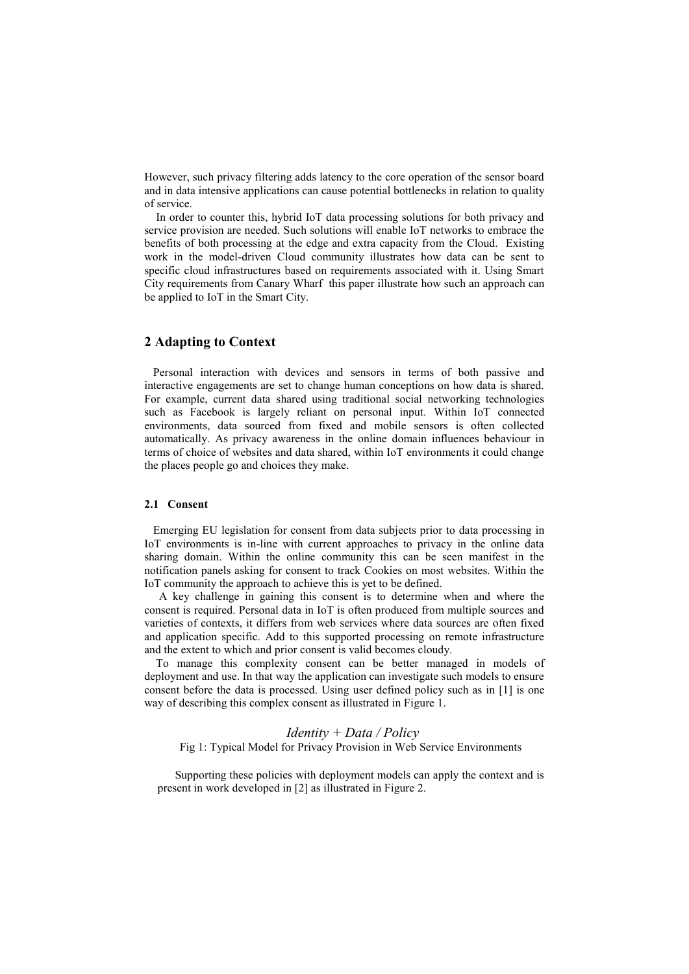However, such privacy filtering adds latency to the core operation of the sensor board and in data intensive applications can cause potential bottlenecks in relation to quality of service.

 In order to counter this, hybrid IoT data processing solutions for both privacy and service provision are needed. Such solutions will enable IoT networks to embrace the benefits of both processing at the edge and extra capacity from the Cloud. Existing work in the model-driven Cloud community illustrates how data can be sent to specific cloud infrastructures based on requirements associated with it. Using Smart City requirements from Canary Wharf this paper illustrate how such an approach can be applied to IoT in the Smart City.

## **2 Adapting to Context**

 Personal interaction with devices and sensors in terms of both passive and interactive engagements are set to change human conceptions on how data is shared. For example, current data shared using traditional social networking technologies such as Facebook is largely reliant on personal input. Within IoT connected environments, data sourced from fixed and mobile sensors is often collected automatically. As privacy awareness in the online domain influences behaviour in terms of choice of websites and data shared, within IoT environments it could change the places people go and choices they make.

## **2.1 Consent**

 Emerging EU legislation for consent from data subjects prior to data processing in IoT environments is in-line with current approaches to privacy in the online data sharing domain. Within the online community this can be seen manifest in the notification panels asking for consent to track Cookies on most websites. Within the IoT community the approach to achieve this is yet to be defined.

 A key challenge in gaining this consent is to determine when and where the consent is required. Personal data in IoT is often produced from multiple sources and varieties of contexts, it differs from web services where data sources are often fixed and application specific. Add to this supported processing on remote infrastructure and the extent to which and prior consent is valid becomes cloudy.

 To manage this complexity consent can be better managed in models of deployment and use. In that way the application can investigate such models to ensure consent before the data is processed. Using user defined policy such as in [1] is one way of describing this complex consent as illustrated in Figure 1.

#### *Identity + Data / Policy*

Fig 1: Typical Model for Privacy Provision in Web Service Environments

 Supporting these policies with deployment models can apply the context and is present in work developed in [2] as illustrated in Figure 2.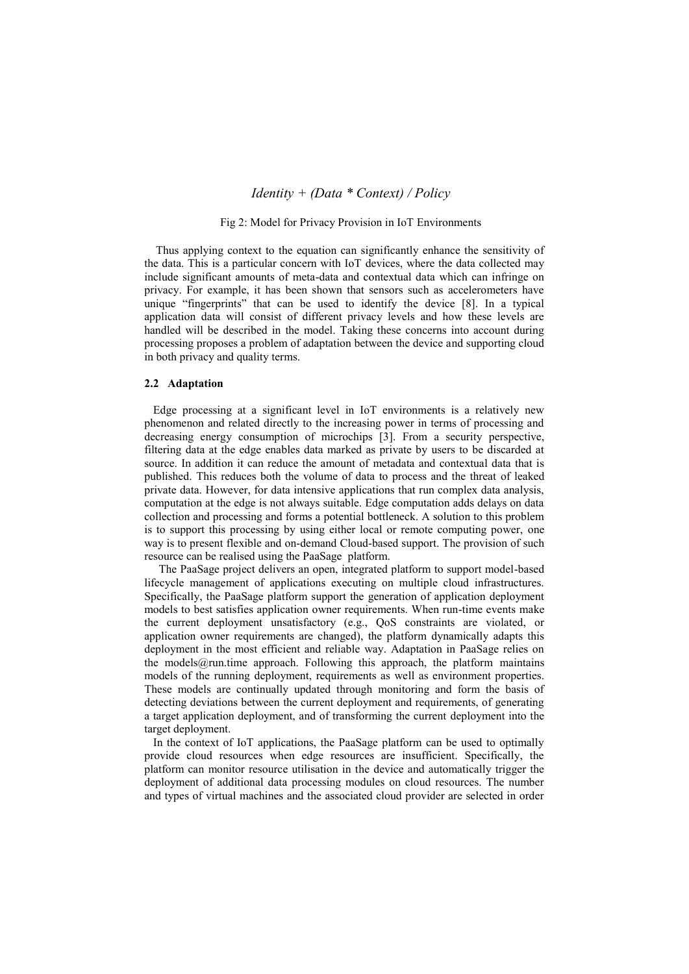## *Identity + (Data \* Context) / Policy*

#### Fig 2: Model for Privacy Provision in IoT Environments

 Thus applying context to the equation can significantly enhance the sensitivity of the data. This is a particular concern with IoT devices, where the data collected may include significant amounts of meta-data and contextual data which can infringe on privacy. For example, it has been shown that sensors such as accelerometers have unique "fingerprints" that can be used to identify the device [8]. In a typical application data will consist of different privacy levels and how these levels are handled will be described in the model. Taking these concerns into account during processing proposes a problem of adaptation between the device and supporting cloud in both privacy and quality terms.

#### **2.2 Adaptation**

 Edge processing at a significant level in IoT environments is a relatively new phenomenon and related directly to the increasing power in terms of processing and decreasing energy consumption of microchips [3]. From a security perspective, filtering data at the edge enables data marked as private by users to be discarded at source. In addition it can reduce the amount of metadata and contextual data that is published. This reduces both the volume of data to process and the threat of leaked private data. However, for data intensive applications that run complex data analysis, computation at the edge is not always suitable. Edge computation adds delays on data collection and processing and forms a potential bottleneck. A solution to this problem is to support this processing by using either local or remote computing power, one way is to present flexible and on-demand Cloud-based support. The provision of such resource can be realised using the PaaSage platform.

 The PaaSage project delivers an open, integrated platform to support model-based lifecycle management of applications executing on multiple cloud infrastructures. Specifically, the PaaSage platform support the generation of application deployment models to best satisfies application owner requirements. When run-time events make the current deployment unsatisfactory (e.g., QoS constraints are violated, or application owner requirements are changed), the platform dynamically adapts this deployment in the most efficient and reliable way. Adaptation in PaaSage relies on the models $@$ run.time approach. Following this approach, the platform maintains models of the running deployment, requirements as well as environment properties. These models are continually updated through monitoring and form the basis of detecting deviations between the current deployment and requirements, of generating a target application deployment, and of transforming the current deployment into the target deployment.

 In the context of IoT applications, the PaaSage platform can be used to optimally provide cloud resources when edge resources are insufficient. Specifically, the platform can monitor resource utilisation in the device and automatically trigger the deployment of additional data processing modules on cloud resources. The number and types of virtual machines and the associated cloud provider are selected in order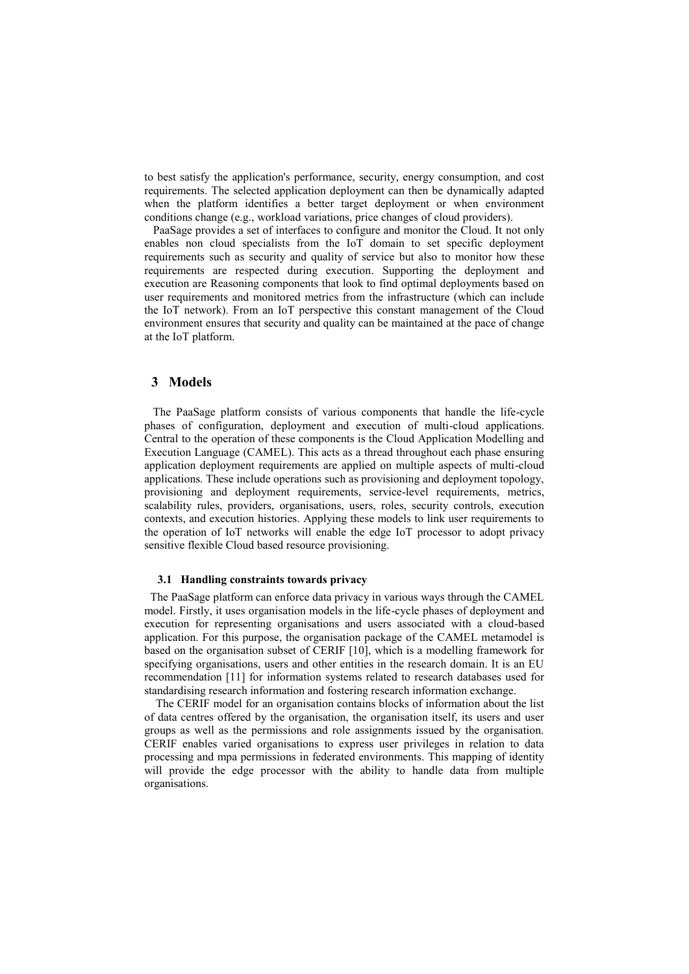to best satisfy the application's performance, security, energy consumption, and cost requirements. The selected application deployment can then be dynamically adapted when the platform identifies a better target deployment or when environment conditions change (e.g., workload variations, price changes of cloud providers).

 PaaSage provides a set of interfaces to configure and monitor the Cloud. It not only enables non cloud specialists from the IoT domain to set specific deployment requirements such as security and quality of service but also to monitor how these requirements are respected during execution. Supporting the deployment and execution are Reasoning components that look to find optimal deployments based on user requirements and monitored metrics from the infrastructure (which can include the IoT network). From an IoT perspective this constant management of the Cloud environment ensures that security and quality can be maintained at the pace of change at the IoT platform.

## **3 Models**

 The PaaSage platform consists of various components that handle the life-cycle phases of configuration, deployment and execution of multi-cloud applications. Central to the operation of these components is the Cloud Application Modelling and Execution Language (CAMEL). This acts as a thread throughout each phase ensuring application deployment requirements are applied on multiple aspects of multi-cloud applications. These include operations such as provisioning and deployment topology, provisioning and deployment requirements, service-level requirements, metrics, scalability rules, providers, organisations, users, roles, security controls, execution contexts, and execution histories. Applying these models to link user requirements to the operation of IoT networks will enable the edge IoT processor to adopt privacy sensitive flexible Cloud based resource provisioning.

#### **3.1 Handling constraints towards privacy**

 The PaaSage platform can enforce data privacy in various ways through the CAMEL model. Firstly, it uses organisation models in the life-cycle phases of deployment and execution for representing organisations and users associated with a cloud-based application. For this purpose, the organisation package of the CAMEL metamodel is based on the organisation subset of CERIF [10], which is a modelling framework for specifying organisations, users and other entities in the research domain. It is an EU recommendation [11] for information systems related to research databases used for standardising research information and fostering research information exchange.

 The CERIF model for an organisation contains blocks of information about the list of data centres offered by the organisation, the organisation itself, its users and user groups as well as the permissions and role assignments issued by the organisation. CERIF enables varied organisations to express user privileges in relation to data processing and mpa permissions in federated environments. This mapping of identity will provide the edge processor with the ability to handle data from multiple organisations.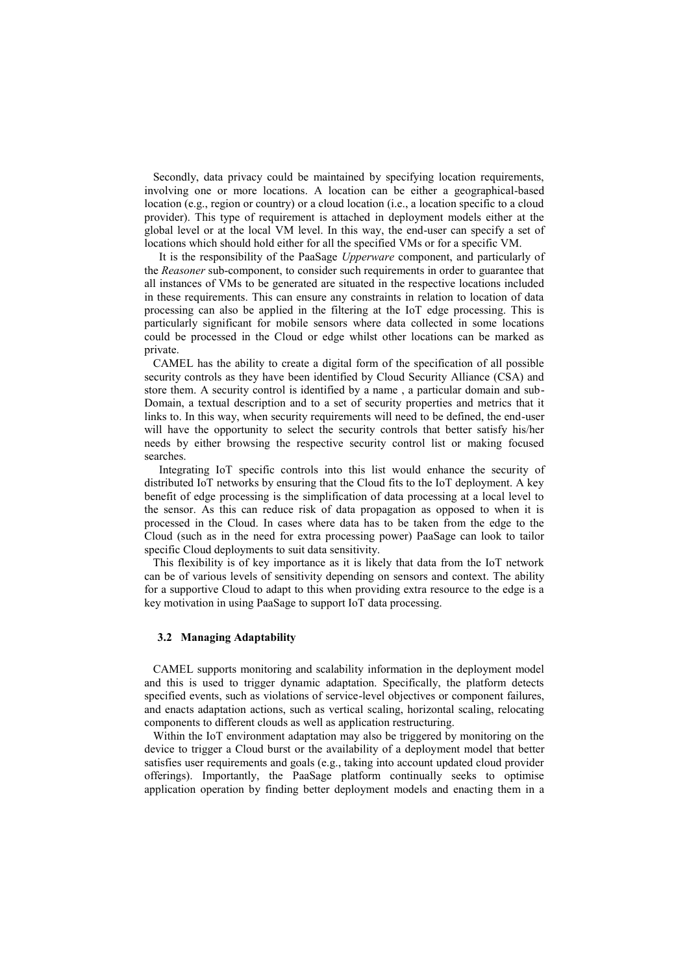Secondly, data privacy could be maintained by specifying location requirements, involving one or more locations. A location can be either a geographical-based location (e.g., region or country) or a cloud location (i.e., a location specific to a cloud provider). This type of requirement is attached in deployment models either at the global level or at the local VM level. In this way, the end-user can specify a set of locations which should hold either for all the specified VMs or for a specific VM.

 It is the responsibility of the PaaSage *Upperware* component, and particularly of the *Reasoner* sub-component, to consider such requirements in order to guarantee that all instances of VMs to be generated are situated in the respective locations included in these requirements. This can ensure any constraints in relation to location of data processing can also be applied in the filtering at the IoT edge processing. This is particularly significant for mobile sensors where data collected in some locations could be processed in the Cloud or edge whilst other locations can be marked as private.

 CAMEL has the ability to create a digital form of the specification of all possible security controls as they have been identified by Cloud Security Alliance (CSA) and store them. A security control is identified by a name , a particular domain and sub-Domain, a textual description and to a set of security properties and metrics that it links to. In this way, when security requirements will need to be defined, the end-user will have the opportunity to select the security controls that better satisfy his/her needs by either browsing the respective security control list or making focused searches.

 Integrating IoT specific controls into this list would enhance the security of distributed IoT networks by ensuring that the Cloud fits to the IoT deployment. A key benefit of edge processing is the simplification of data processing at a local level to the sensor. As this can reduce risk of data propagation as opposed to when it is processed in the Cloud. In cases where data has to be taken from the edge to the Cloud (such as in the need for extra processing power) PaaSage can look to tailor specific Cloud deployments to suit data sensitivity.

 This flexibility is of key importance as it is likely that data from the IoT network can be of various levels of sensitivity depending on sensors and context. The ability for a supportive Cloud to adapt to this when providing extra resource to the edge is a key motivation in using PaaSage to support IoT data processing.

#### **3.2 Managing Adaptability**

 CAMEL supports monitoring and scalability information in the deployment model and this is used to trigger dynamic adaptation. Specifically, the platform detects specified events, such as violations of service-level objectives or component failures, and enacts adaptation actions, such as vertical scaling, horizontal scaling, relocating components to different clouds as well as application restructuring.

 Within the IoT environment adaptation may also be triggered by monitoring on the device to trigger a Cloud burst or the availability of a deployment model that better satisfies user requirements and goals (e.g., taking into account updated cloud provider offerings). Importantly, the PaaSage platform continually seeks to optimise application operation by finding better deployment models and enacting them in a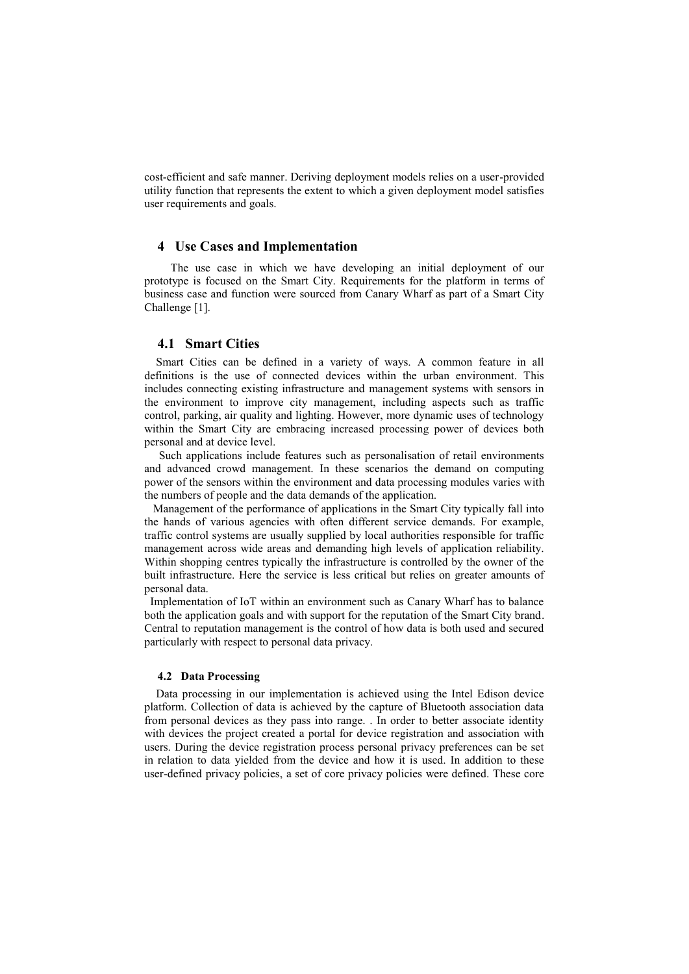cost-efficient and safe manner. Deriving deployment models relies on a user-provided utility function that represents the extent to which a given deployment model satisfies user requirements and goals.

## **4 Use Cases and Implementation**

 The use case in which we have developing an initial deployment of our prototype is focused on the Smart City. Requirements for the platform in terms of business case and function were sourced from Canary Wharf as part of a Smart City Challenge [1].

#### **4.1 Smart Cities**

 Smart Cities can be defined in a variety of ways. A common feature in all definitions is the use of connected devices within the urban environment. This includes connecting existing infrastructure and management systems with sensors in the environment to improve city management, including aspects such as traffic control, parking, air quality and lighting. However, more dynamic uses of technology within the Smart City are embracing increased processing power of devices both personal and at device level.

 Such applications include features such as personalisation of retail environments and advanced crowd management. In these scenarios the demand on computing power of the sensors within the environment and data processing modules varies with the numbers of people and the data demands of the application.

 Management of the performance of applications in the Smart City typically fall into the hands of various agencies with often different service demands. For example, traffic control systems are usually supplied by local authorities responsible for traffic management across wide areas and demanding high levels of application reliability. Within shopping centres typically the infrastructure is controlled by the owner of the built infrastructure. Here the service is less critical but relies on greater amounts of personal data.

 Implementation of IoT within an environment such as Canary Wharf has to balance both the application goals and with support for the reputation of the Smart City brand. Central to reputation management is the control of how data is both used and secured particularly with respect to personal data privacy.

#### **4.2 Data Processing**

 Data processing in our implementation is achieved using the Intel Edison device platform. Collection of data is achieved by the capture of Bluetooth association data from personal devices as they pass into range. . In order to better associate identity with devices the project created a portal for device registration and association with users. During the device registration process personal privacy preferences can be set in relation to data yielded from the device and how it is used. In addition to these user-defined privacy policies, a set of core privacy policies were defined. These core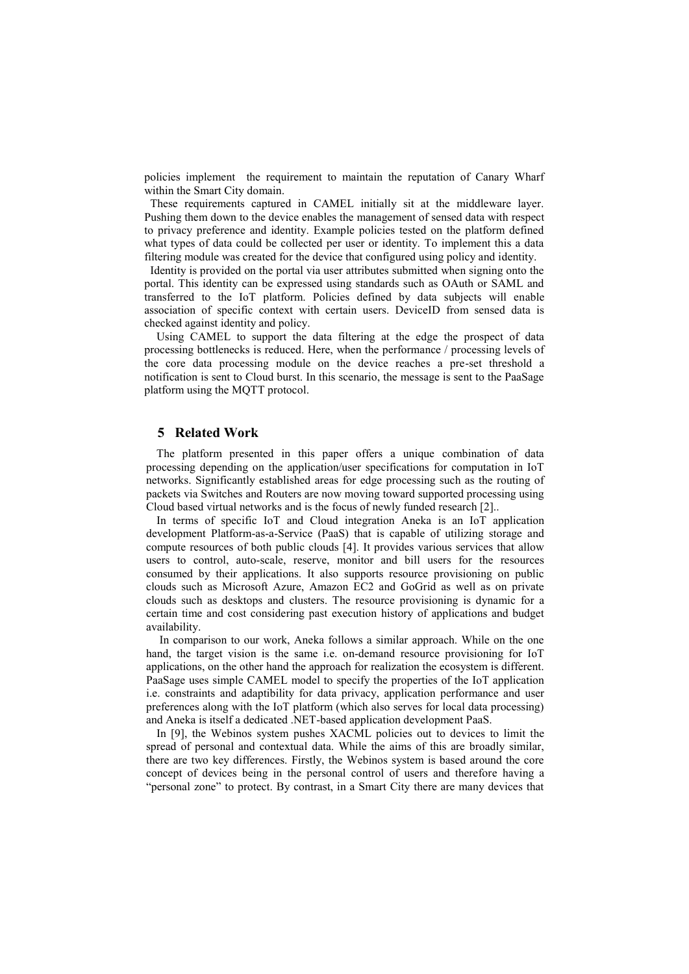policies implement the requirement to maintain the reputation of Canary Wharf within the Smart City domain.

 These requirements captured in CAMEL initially sit at the middleware layer. Pushing them down to the device enables the management of sensed data with respect to privacy preference and identity. Example policies tested on the platform defined what types of data could be collected per user or identity. To implement this a data filtering module was created for the device that configured using policy and identity.

 Identity is provided on the portal via user attributes submitted when signing onto the portal. This identity can be expressed using standards such as OAuth or SAML and transferred to the IoT platform. Policies defined by data subjects will enable association of specific context with certain users. DeviceID from sensed data is checked against identity and policy.

Using CAMEL to support the data filtering at the edge the prospect of data processing bottlenecks is reduced. Here, when the performance / processing levels of the core data processing module on the device reaches a pre-set threshold a notification is sent to Cloud burst. In this scenario, the message is sent to the PaaSage platform using the MQTT protocol.

#### **5 Related Work**

The platform presented in this paper offers a unique combination of data processing depending on the application/user specifications for computation in IoT networks. Significantly established areas for edge processing such as the routing of packets via Switches and Routers are now moving toward supported processing using Cloud based virtual networks and is the focus of newly funded research [2]..

In terms of specific IoT and Cloud integration Aneka is an IoT application development Platform-as-a-Service (PaaS) that is capable of utilizing storage and compute resources of both public clouds [4]. It provides various services that allow users to control, auto-scale, reserve, monitor and bill users for the resources consumed by their applications. It also supports resource provisioning on public clouds such as Microsoft Azure, Amazon EC2 and GoGrid as well as on private clouds such as desktops and clusters. The resource provisioning is dynamic for a certain time and cost considering past execution history of applications and budget availability.

In comparison to our work, Aneka follows a similar approach. While on the one hand, the target vision is the same i.e. on-demand resource provisioning for IoT applications, on the other hand the approach for realization the ecosystem is different. PaaSage uses simple CAMEL model to specify the properties of the IoT application i.e. constraints and adaptibility for data privacy, application performance and user preferences along with the IoT platform (which also serves for local data processing) and Aneka is itself a dedicated .NET-based application development PaaS.

In [9], the Webinos system pushes XACML policies out to devices to limit the spread of personal and contextual data. While the aims of this are broadly similar, there are two key differences. Firstly, the Webinos system is based around the core concept of devices being in the personal control of users and therefore having a "personal zone" to protect. By contrast, in a Smart City there are many devices that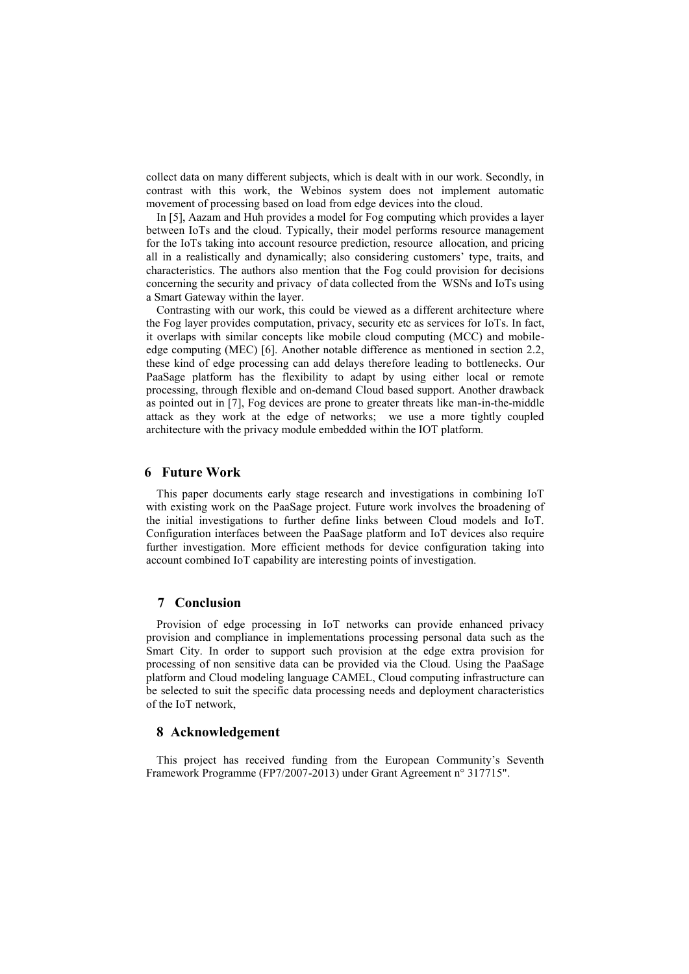collect data on many different subjects, which is dealt with in our work. Secondly, in contrast with this work, the Webinos system does not implement automatic movement of processing based on load from edge devices into the cloud.

In [5], Aazam and Huh provides a model for Fog computing which provides a layer between IoTs and the cloud. Typically, their model performs resource management for the IoTs taking into account resource prediction, resource allocation, and pricing all in a realistically and dynamically; also considering customers' type, traits, and characteristics. The authors also mention that the Fog could provision for decisions concerning the security and privacy of data collected from the WSNs and IoTs using a Smart Gateway within the layer.

Contrasting with our work, this could be viewed as a different architecture where the Fog layer provides computation, privacy, security etc as services for IoTs. In fact, it overlaps with similar concepts like mobile cloud computing (MCC) and mobileedge computing (MEC) [6]. Another notable difference as mentioned in section 2.2, these kind of edge processing can add delays therefore leading to bottlenecks. Our PaaSage platform has the flexibility to adapt by using either local or remote processing, through flexible and on-demand Cloud based support. Another drawback as pointed out in [7], Fog devices are prone to greater threats like man-in-the-middle attack as they work at the edge of networks; we use a more tightly coupled architecture with the privacy module embedded within the IOT platform.

#### **6 Future Work**

This paper documents early stage research and investigations in combining IoT with existing work on the PaaSage project. Future work involves the broadening of the initial investigations to further define links between Cloud models and IoT. Configuration interfaces between the PaaSage platform and IoT devices also require further investigation. More efficient methods for device configuration taking into account combined IoT capability are interesting points of investigation.

## **7 Conclusion**

Provision of edge processing in IoT networks can provide enhanced privacy provision and compliance in implementations processing personal data such as the Smart City. In order to support such provision at the edge extra provision for processing of non sensitive data can be provided via the Cloud. Using the PaaSage platform and Cloud modeling language CAMEL, Cloud computing infrastructure can be selected to suit the specific data processing needs and deployment characteristics of the IoT network,

#### **8 Acknowledgement**

This project has received funding from the European Community's Seventh Framework Programme (FP7/2007-2013) under Grant Agreement n° 317715".